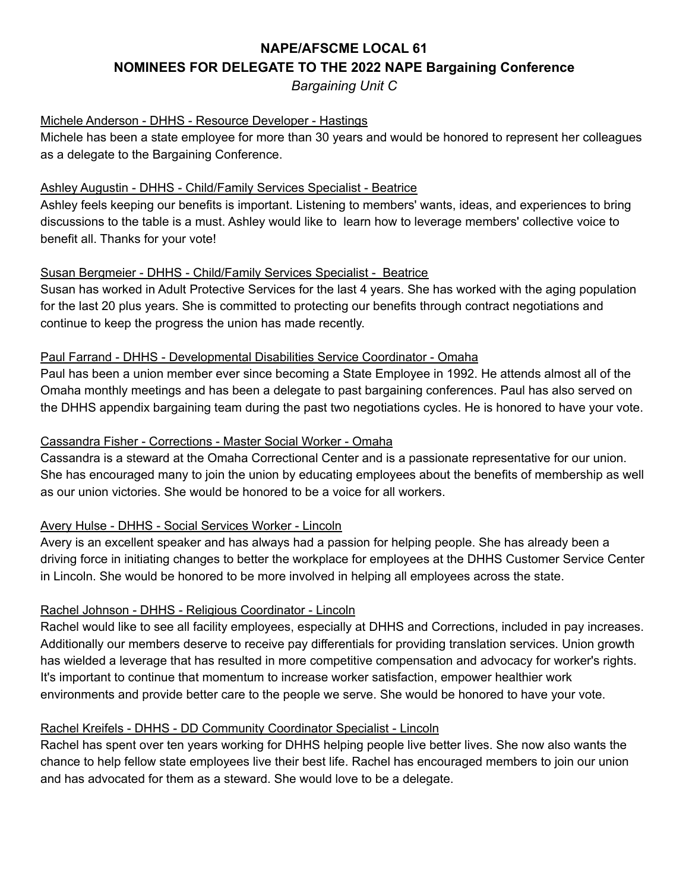# **NAPE/AFSCME LOCAL 61 NOMINEES FOR DELEGATE TO THE 2022 NAPE Bargaining Conference**

*Bargaining Unit C*

#### Michele Anderson - DHHS - Resource Developer - Hastings

Michele has been a state employee for more than 30 years and would be honored to represent her colleagues as a delegate to the Bargaining Conference.

#### Ashley Augustin - DHHS - Child/Family Services Specialist - Beatrice

Ashley feels keeping our benefits is important. Listening to members' wants, ideas, and experiences to bring discussions to the table is a must. Ashley would like to learn how to leverage members' collective voice to benefit all. Thanks for your vote!

## Susan Bergmeier - DHHS - Child/Family Services Specialist - Beatrice

Susan has worked in Adult Protective Services for the last 4 years. She has worked with the aging population for the last 20 plus years. She is committed to protecting our benefits through contract negotiations and continue to keep the progress the union has made recently.

#### Paul Farrand - DHHS - Developmental Disabilities Service Coordinator - Omaha

Paul has been a union member ever since becoming a State Employee in 1992. He attends almost all of the Omaha monthly meetings and has been a delegate to past bargaining conferences. Paul has also served on the DHHS appendix bargaining team during the past two negotiations cycles. He is honored to have your vote.

## Cassandra Fisher - Corrections - Master Social Worker - Omaha

Cassandra is a steward at the Omaha Correctional Center and is a passionate representative for our union. She has encouraged many to join the union by educating employees about the benefits of membership as well as our union victories. She would be honored to be a voice for all workers.

# Avery Hulse - DHHS - Social Services Worker - Lincoln

Avery is an excellent speaker and has always had a passion for helping people. She has already been a driving force in initiating changes to better the workplace for employees at the DHHS Customer Service Center in Lincoln. She would be honored to be more involved in helping all employees across the state.

#### Rachel Johnson - DHHS - Religious Coordinator - Lincoln

Rachel would like to see all facility employees, especially at DHHS and Corrections, included in pay increases. Additionally our members deserve to receive pay differentials for providing translation services. Union growth has wielded a leverage that has resulted in more competitive compensation and advocacy for worker's rights. It's important to continue that momentum to increase worker satisfaction, empower healthier work environments and provide better care to the people we serve. She would be honored to have your vote.

#### Rachel Kreifels - DHHS - DD Community Coordinator Specialist - Lincoln

Rachel has spent over ten years working for DHHS helping people live better lives. She now also wants the chance to help fellow state employees live their best life. Rachel has encouraged members to join our union and has advocated for them as a steward. She would love to be a delegate.